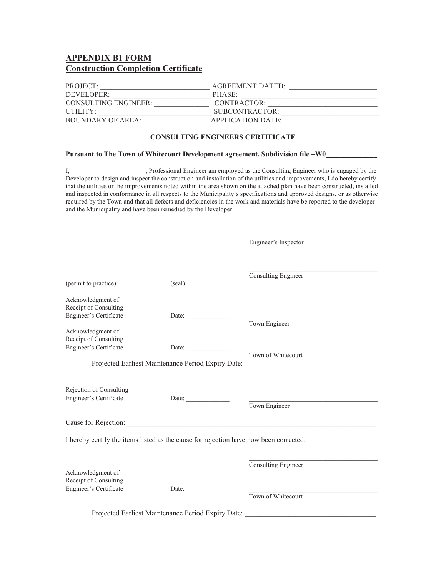# **APPENDIX B1 FORM Construction Completion Certificate**

| PROJECT:             | <b>AGREEMENT DATED:</b> |
|----------------------|-------------------------|
| DEVELOPER:           | PHASE:                  |
| CONSULTING ENGINEER: | CONTRACTOR:             |
| UTILITY:             | SUBCONTRACTOR:          |
| BOUNDARY OF AREA:    | APPLICATION DATE:       |

#### **CONSULTING ENGINEERS CERTIFICATE**

#### Pursuant to The Town of Whitecourt Development agreement, Subdivision file -W0\_\_\_\_\_\_\_\_\_\_

I, Professional Engineer am employed as the Consulting Engineer who is engaged by the Developer to design and inspect the construction and installation of the utilities and improvements, I do hereby certify that the utilities or the improvements noted within the area shown on the attached plan have been constructed, installed and inspected in conformance in all respects to the Municipality's specifications and approved designs, or as otherwise required by the Town and that all defects and deficiencies in the work and materials have be reported to the developer and the Municipality and have been remedied by the Developer.

|                                                                                       |                       | Engineer's Inspector                                                                                   |
|---------------------------------------------------------------------------------------|-----------------------|--------------------------------------------------------------------------------------------------------|
| (permit to practice)                                                                  | (seal)                | Consulting Engineer                                                                                    |
| Acknowledgment of<br>Receipt of Consulting<br>Engineer's Certificate                  |                       |                                                                                                        |
| Acknowledgment of<br>Receipt of Consulting<br>Engineer's Certificate                  | Date: $\qquad \qquad$ | Town Engineer                                                                                          |
|                                                                                       |                       | Town of Whitecourt<br>Projected Earliest Maintenance Period Expiry Date: _____________________________ |
| Rejection of Consulting<br>Engineer's Certificate                                     | Date: $\qquad \qquad$ | Town Engineer                                                                                          |
|                                                                                       |                       |                                                                                                        |
| I hereby certify the items listed as the cause for rejection have now been corrected. |                       |                                                                                                        |
| Acknowledgment of<br>Receipt of Consulting<br>Engineer's Certificate                  | Date:                 | Consulting Engineer<br>Town of Whitecourt                                                              |
|                                                                                       |                       | Projected Earliest Maintenance Period Expiry Date: _____________________________                       |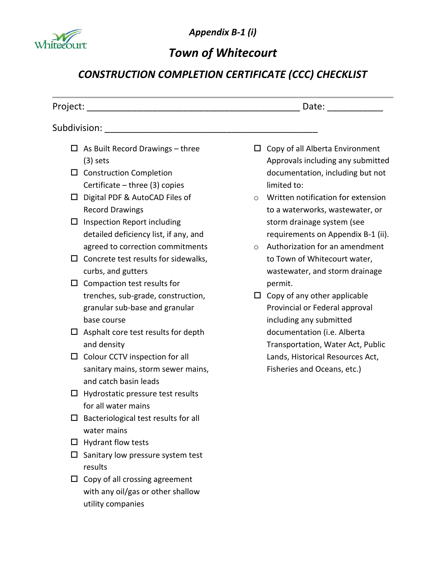

*Appendix B-1 (i)*

# *Town of Whitecourt*

# *CONSTRUCTION COMPLETION CERTIFICATE (CCC) CHECKLIST*

|        |                                                                                                          |         | Date: the contract of the contract of the contract of the contract of the contract of the contract of the contract of the contract of the contract of the contract of the contract of the contract of the contract of the cont |
|--------|----------------------------------------------------------------------------------------------------------|---------|--------------------------------------------------------------------------------------------------------------------------------------------------------------------------------------------------------------------------------|
|        |                                                                                                          |         |                                                                                                                                                                                                                                |
| $\Box$ | As Built Record Drawings - three<br>$(3)$ sets                                                           | ப       | Copy of all Alberta Environment<br>Approvals including any submitted                                                                                                                                                           |
|        | $\square$ Construction Completion<br>Certificate $-$ three (3) copies                                    |         | documentation, including but not<br>limited to:                                                                                                                                                                                |
| □      | Digital PDF & AutoCAD Files of<br><b>Record Drawings</b>                                                 | $\circ$ | Written notification for extension<br>to a waterworks, wastewater, or                                                                                                                                                          |
| Ц      | Inspection Report including<br>detailed deficiency list, if any, and<br>agreed to correction commitments | $\circ$ | storm drainage system (see<br>requirements on Appendix B-1 (ii).<br>Authorization for an amendment                                                                                                                             |
| □      | Concrete test results for sidewalks,<br>curbs, and gutters                                               |         | to Town of Whitecourt water,<br>wastewater, and storm drainage                                                                                                                                                                 |
| $\Box$ | Compaction test results for<br>trenches, sub-grade, construction,                                        | $\Box$  | permit.<br>Copy of any other applicable                                                                                                                                                                                        |
|        | granular sub-base and granular<br>base course                                                            |         | Provincial or Federal approval<br>including any submitted                                                                                                                                                                      |
| ⊔      | Asphalt core test results for depth<br>and density                                                       |         | documentation (i.e. Alberta<br>Transportation, Water Act, Public                                                                                                                                                               |
| □      | Colour CCTV inspection for all<br>sanitary mains, storm sewer mains,<br>and catch basin leads            |         | Lands, Historical Resources Act,<br>Fisheries and Oceans, etc.)                                                                                                                                                                |
| ப      | Hydrostatic pressure test results<br>for all water mains                                                 |         |                                                                                                                                                                                                                                |
| ΙI     | Bacteriological test results for all<br>water mains                                                      |         |                                                                                                                                                                                                                                |
| $\Box$ | <b>Hydrant flow tests</b>                                                                                |         |                                                                                                                                                                                                                                |
| ⊔      | Sanitary low pressure system test<br>results                                                             |         |                                                                                                                                                                                                                                |
| $\Box$ | Copy of all crossing agreement<br>with any oil/gas or other shallow<br>utility companies                 |         |                                                                                                                                                                                                                                |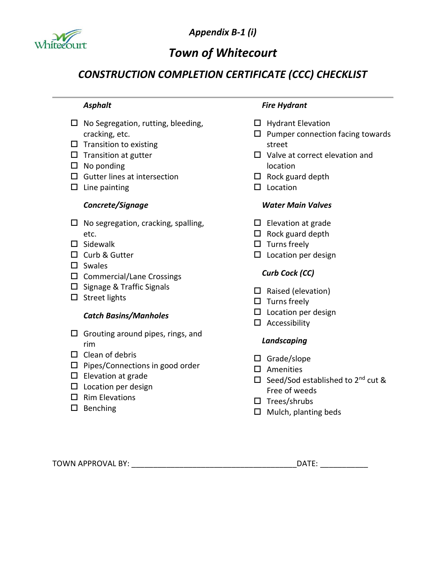

*Appendix B-1 (i)*

# *Town of Whitecourt*

# *CONSTRUCTION COMPLETION CERTIFICATE (CCC) CHECKLIST*

# *Asphalt*

- $\Box$  No Segregation, rutting, bleeding, cracking, etc.
- $\square$  Transition to existing
- $\square$  Transition at gutter
- $\square$  No ponding
- $\square$  Gutter lines at intersection
- $\square$  Line painting

### *Concrete/Signage*

- $\square$  No segregation, cracking, spalling, etc.
- $\square$  Sidewalk
- □ Curb & Gutter
- $\square$  Swales
- $\square$  Commercial/Lane Crossings
- $\square$  Signage & Traffic Signals
- $\square$  Street lights

### *Catch Basins/Manholes*

- $\square$  Grouting around pipes, rings, and rim
- $\Box$  Clean of debris
- $\square$  Pipes/Connections in good order
- $\square$  Elevation at grade
- $\square$  Location per design
- $\Box$  Rim Elevations
- $\square$  Benching

#### *Fire Hydrant*

- $\Box$  Hydrant Elevation
- $\square$  Pumper connection facing towards street
- $\Box$  Valve at correct elevation and location
- $\square$  Rock guard depth
- $\square$  Location

# *Water Main Valves*

- $\square$  Elevation at grade
- $\Box$  Rock guard depth
- $\square$  Turns freely
- $\square$  Location per design

# *Curb Cock (CC)*

- $\Box$  Raised (elevation)
- $\square$  Turns freely
- $\square$  Location per design
- $\square$  Accessibility

### *Landscaping*

- $\square$  Grade/slope
- $\square$  Amenities
- $\Box$  Seed/Sod established to 2<sup>nd</sup> cut & Free of weeds
- $\square$  Trees/shrubs
- $\square$  Mulch, planting beds

TOWN APPROVAL BY: TOWN APPROVAL BY: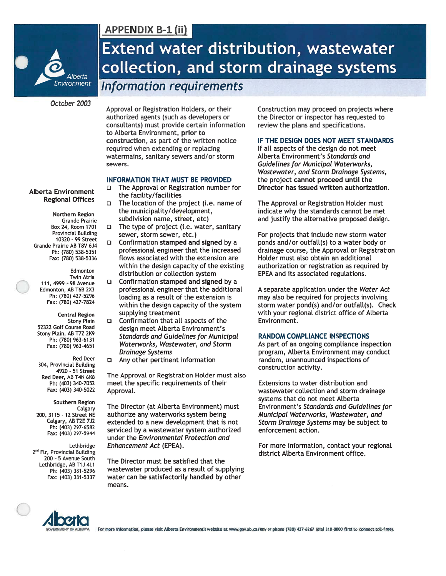

# October 2003

Approval or Registration Holders, or their authorized agents (such as developers or consultants) must provide certain information to Alberta Environment, prior to construction, as part of the written notice required when extending or replacing watermains, sanitary sewers and/or storm sewers.

**APPENDIX B-1 (ii)** 

#### **INFORMATION THAT MUST BE PROVIDED**

- The Approval or Registration number for the facility/facilities
- The location of the project (i.e. name of  $\Box$ the municipality/development, subdivision name, street, etc)
- $\Box$ The type of project (i.e. water, sanitary sewer, storm sewer, etc.)
- $\Box$ Confirmation stamped and signed by a professional engineer that the increased flows associated with the extension are within the design capacity of the existing distribution or collection system
- $\Box$  Confirmation stamped and signed by a professional engineer that the additional loading as a result of the extension is within the design capacity of the system supplying treatment
- Confirmation that all aspects of the  $\Box$ design meet Alberta Environment's **Standards and Guidelines for Municipal** Waterworks, Wastewater, and Storm **Drainage Systems**
- Any other pertinent information

The Approval or Registration Holder must also meet the specific requirements of their Approval.

The Director (at Alberta Environment) must authorize any waterworks system being extended to a new development that is not serviced by a wastewater system authorized under the Environmental Protection and Enhancement Act (EPEA).

The Director must be satisfied that the wastewater produced as a result of supplying water can be satisfactorily handled by other means.

Construction may proceed on projects where the Director or inspector has requested to review the plans and specifications.

#### IF THE DESIGN DOES NOT MEET STANDARDS

If all aspects of the design do not meet Alberta Environment's Standards and **Guidelines for Municipal Waterworks,** Wastewater, and Storm Drainage Systems, the project cannot proceed until the Director has issued written authorization.

The Approval or Registration Holder must indicate why the standards cannot be met and justify the alternative proposed design.

For projects that include new storm water ponds and/or outfall(s) to a water body or drainage course, the Approval or Registration Holder must also obtain an additional authorization or registration as required by EPEA and its associated regulations.

A separate application under the Water Act may also be required for projects involving storm water pond(s) and/or outfall(s). Check with your regional district office of Alberta Environment.

#### **RANDOM COMPLIANCE INSPECTIONS**

As part of an ongoing compliance inspection program, Alberta Environment may conduct random, unannounced inspections of construction activity.

Extensions to water distribution and wastewater collection and storm drainage systems that do not meet Alberta Environment's Standards and Guidelines for Municipal Waterworks, Wastewater, and Storm Drainage Systems may be subject to enforcement action.

For more information, contact your regional district Alberta Environment office.



For more information, please visit Alberta Environment's website at www.gov.ab.ca/env or phone (780) 427-6267 (dial 310-0000 first to connect toll-free).

#### **Alberta Environment Regional Offices**

Northern Region **Grande Prairie** Box 24, Room 1701 **Provincial Building** 10320 - 99 Street Grande Prairie AB T8V 6J4 Ph: (780) 538-5351 Fax: (780) 538-5336

Edmonton Twin Atria 111, 4999 - 98 Avenue Edmonton, AB T6B 2X3 Ph: (780) 427-5296 Fax: (780) 427-7824

**Central Region Stony Plain** 52322 Golf Course Road Stony Plain, AB T7Z 2K9 Ph: (780) 963-6131 Fax: (780) 963-4651

**Red Deer** 304, Provincial Building 4920 - 51 Street Red Deer, AB T4N 6K8 Ph: (403) 340-7052 Fax: (403) 340-5022

Southern Region Calgary 200, 3115 - 12 Street NE Calgary, AB T2E 7J2 Ph: (403) 297-6582 Fax: (403) 297-5944

Lethbridge 2<sup>nd</sup> Flr, Provincial Building 200 - 5 Avenue South Lethbridge, AB T1J 4L1 Ph: (403) 381-5296 Fax: (403) 381-5337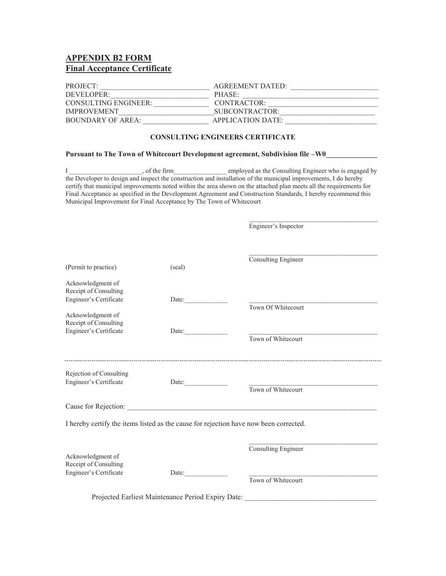# **APPENDIX B2 FORM Final Acceptance Certificate**

| PROJECT:             | <b>AGREEMENT DATED:</b> |
|----------------------|-------------------------|
| DEVELOPER:           | PHASE:                  |
| CONSULTING ENGINEER: | CONTRACTOR:             |
| <b>IMPROVEMENT</b>   | SIBCONTRACTOR:          |
| BOUNDARY OF AREA:    | APPLICATION DATE:       |

#### **CONSULTING ENGINEERS CERTIFICATE**

#### Pursuant to The Town of Whitecourt Development agreement, Subdivision file -W0\_\_\_\_\_\_\_\_\_\_

I consulting Engineer who is engaged by the firm comployed as the Consulting Engineer who is engaged by the Developer to design and inspect the construction and installation of the municipal improvements, I do hereby certify that municipal improvements noted within the area shown on the attached plan meets all the requirements for Final Acceptance as specified in the Development Agreement and Construction Standards, I hereby recommend this Municipal Improvement for Final Acceptance by The Town of Whitecourt

BBBBBBBBBBBBBBBBBBBBBBBBBBBBBBBBBBB

|                         |                                                    | Engineer's Inspector                                                                                                   |  |
|-------------------------|----------------------------------------------------|------------------------------------------------------------------------------------------------------------------------|--|
|                         |                                                    |                                                                                                                        |  |
|                         |                                                    | Consulting Engineer                                                                                                    |  |
| (Permit to practice)    | (seal)                                             |                                                                                                                        |  |
| Acknowledgment of       |                                                    |                                                                                                                        |  |
| Receipt of Consulting   |                                                    |                                                                                                                        |  |
| Engineer's Certificate  | Date:                                              | Town Of Whitecourt                                                                                                     |  |
| Acknowledgment of       |                                                    |                                                                                                                        |  |
| Receipt of Consulting   |                                                    |                                                                                                                        |  |
| Engineer's Certificate  | Date:                                              |                                                                                                                        |  |
|                         |                                                    | Town of Whitecourt                                                                                                     |  |
|                         |                                                    |                                                                                                                        |  |
| Rejection of Consulting |                                                    |                                                                                                                        |  |
| Engineer's Certificate  | Date: $\qquad \qquad$                              | <u> 1980 - Andrea Aonaich, ann an t-Aonaich an t-Aonaich an t-Aonaich an t-Aonaich an t-Aonaich an t-Aonaich an t-</u> |  |
|                         |                                                    | Town of Whitecourt                                                                                                     |  |
|                         |                                                    |                                                                                                                        |  |
|                         |                                                    | I hereby certify the items listed as the cause for rejection have now been corrected.                                  |  |
|                         |                                                    |                                                                                                                        |  |
|                         |                                                    | Consulting Engineer                                                                                                    |  |
| Acknowledgment of       |                                                    |                                                                                                                        |  |
| Receipt of Consulting   |                                                    |                                                                                                                        |  |
| Engineer's Certificate  | Date:                                              | Town of Whitecourt                                                                                                     |  |
|                         |                                                    |                                                                                                                        |  |
|                         | Projected Earliest Maintenance Period Expiry Date: |                                                                                                                        |  |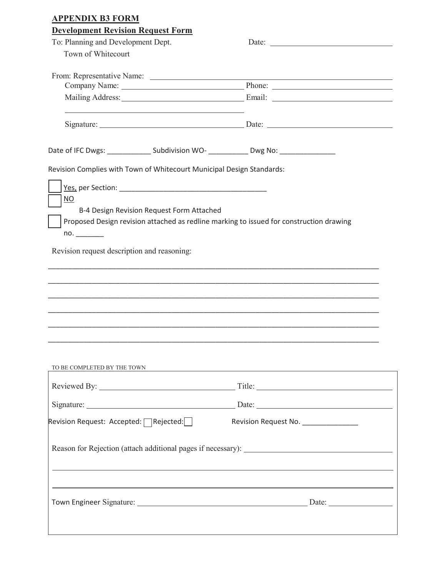| <b>Development Revision Request Form</b>                                                                                                                                                                                       |                                     |
|--------------------------------------------------------------------------------------------------------------------------------------------------------------------------------------------------------------------------------|-------------------------------------|
| To: Planning and Development Dept.                                                                                                                                                                                             |                                     |
| Town of Whitecourt                                                                                                                                                                                                             |                                     |
|                                                                                                                                                                                                                                |                                     |
|                                                                                                                                                                                                                                |                                     |
| Mailing Address: Email: Email: Email: Email: Address: Email: Analysis Address: All Analysis Address: All Analysis Address: All Analysis Address: All Analysis Address: All Analysis Address: All Analysis Address: All Analysi |                                     |
|                                                                                                                                                                                                                                |                                     |
| Date of IFC Dwgs: _________________ Subdivision WO- ______________ Dwg No: ________________________                                                                                                                            |                                     |
| Revision Complies with Town of Whitecourt Municipal Design Standards:                                                                                                                                                          |                                     |
|                                                                                                                                                                                                                                |                                     |
| NO.                                                                                                                                                                                                                            |                                     |
| B-4 Design Revision Request Form Attached                                                                                                                                                                                      |                                     |
| Proposed Design revision attached as redline marking to issued for construction drawing                                                                                                                                        |                                     |
|                                                                                                                                                                                                                                |                                     |
| no.                                                                                                                                                                                                                            |                                     |
| Revision request description and reasoning:                                                                                                                                                                                    |                                     |
|                                                                                                                                                                                                                                |                                     |
|                                                                                                                                                                                                                                |                                     |
|                                                                                                                                                                                                                                |                                     |
|                                                                                                                                                                                                                                |                                     |
|                                                                                                                                                                                                                                |                                     |
|                                                                                                                                                                                                                                |                                     |
|                                                                                                                                                                                                                                |                                     |
|                                                                                                                                                                                                                                |                                     |
|                                                                                                                                                                                                                                |                                     |
|                                                                                                                                                                                                                                |                                     |
|                                                                                                                                                                                                                                |                                     |
|                                                                                                                                                                                                                                |                                     |
|                                                                                                                                                                                                                                |                                     |
|                                                                                                                                                                                                                                |                                     |
|                                                                                                                                                                                                                                |                                     |
| Revision Request: Accepted:   Rejected:                                                                                                                                                                                        | Revision Request No. ______________ |
|                                                                                                                                                                                                                                |                                     |
|                                                                                                                                                                                                                                |                                     |
|                                                                                                                                                                                                                                |                                     |
|                                                                                                                                                                                                                                |                                     |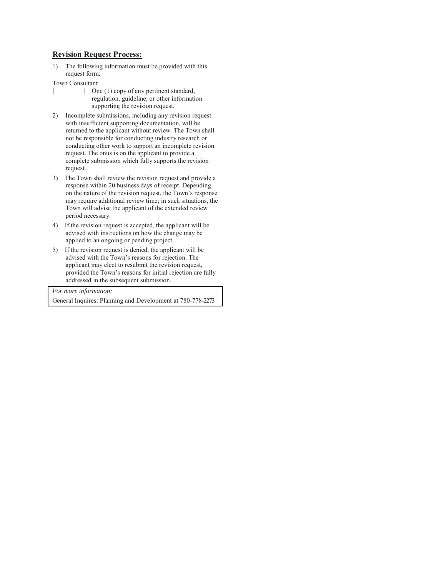#### **Revision Request Process:**

- 1) The following information must be provided with this request form:
- Town Consultant
- $\Box$  $\Box$  One (1) copy of any pertinent standard, regulation, guideline, or other information supporting the revision request.
- 2) Incomplete submissions, including any revision request with insufficient supporting documentation, will be returned to the applicant without review. The Town shall not be responsible for conducting industry research or conducting other work to support an incomplete revision request. The onus is on the applicant to provide a complete submission which fully supports the revision request.
- 3) The Town shall review the revision request and provide a response within 20 business days of receipt. Depending on the nature of the revision request, the Town's response may require additional review time; in such situations, the Town will advise the applicant of the extended review period necessary.
- 4) If the revision request is accepted, the applicant will be advised with instructions on how the change may be applied to an ongoing or pending project.
- 5) If the revision request is denied, the applicant will be advised with the Town's reasons for rejection. The applicant may elect to resubmit the revision request, provided the Town's reasons for initial rejection are fully addressed in the subsequent submission.

*For more information:*

General Inquires: Planning and Development at 780-778-2273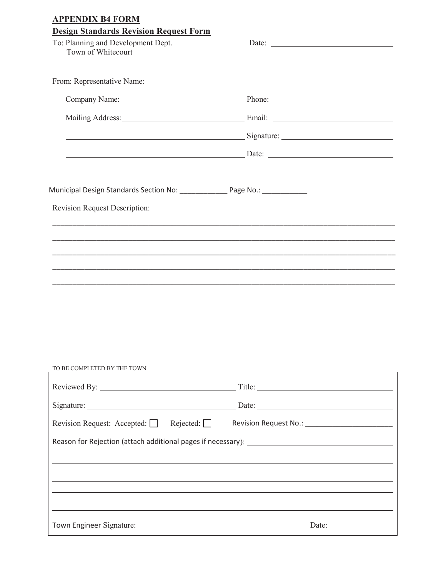| To: Planning and Development Dept.<br>Town of Whitecourt                                                                                                                                                                            |                                                                                   |  |
|-------------------------------------------------------------------------------------------------------------------------------------------------------------------------------------------------------------------------------------|-----------------------------------------------------------------------------------|--|
|                                                                                                                                                                                                                                     |                                                                                   |  |
| Company Name: <u>New York: Phone:</u> Phone: New York: New York: New York: New York: New York: New York: New York: New York: New York: New York: New York: New York: New York: New York: New York: New York: New York: New York: Ne |                                                                                   |  |
|                                                                                                                                                                                                                                     |                                                                                   |  |
| <u>Signature: Contract of Superintent Contract of Signature:</u> Contract of Signature:                                                                                                                                             |                                                                                   |  |
|                                                                                                                                                                                                                                     |                                                                                   |  |
| Municipal Design Standards Section No: ________________ Page No.: ______________                                                                                                                                                    |                                                                                   |  |
| <b>Revision Request Description:</b>                                                                                                                                                                                                |                                                                                   |  |
|                                                                                                                                                                                                                                     |                                                                                   |  |
|                                                                                                                                                                                                                                     |                                                                                   |  |
|                                                                                                                                                                                                                                     |                                                                                   |  |
|                                                                                                                                                                                                                                     |                                                                                   |  |
|                                                                                                                                                                                                                                     |                                                                                   |  |
|                                                                                                                                                                                                                                     |                                                                                   |  |
|                                                                                                                                                                                                                                     |                                                                                   |  |
| TO BE COMPLETED BY THE TOWN                                                                                                                                                                                                         |                                                                                   |  |
|                                                                                                                                                                                                                                     |                                                                                   |  |
|                                                                                                                                                                                                                                     |                                                                                   |  |
| Revision Request: Accepted: Rejected: Revision Request No.: ____________________                                                                                                                                                    |                                                                                   |  |
|                                                                                                                                                                                                                                     |                                                                                   |  |
|                                                                                                                                                                                                                                     | ,我们也不能在这里的时候,我们也不能在这里的时候,我们也不能会在这里的时候,我们也不能会在这里的时候,我们也不能会在这里的时候,我们也不能会在这里的时候,我们也不 |  |
|                                                                                                                                                                                                                                     |                                                                                   |  |
|                                                                                                                                                                                                                                     |                                                                                   |  |
|                                                                                                                                                                                                                                     |                                                                                   |  |
|                                                                                                                                                                                                                                     |                                                                                   |  |